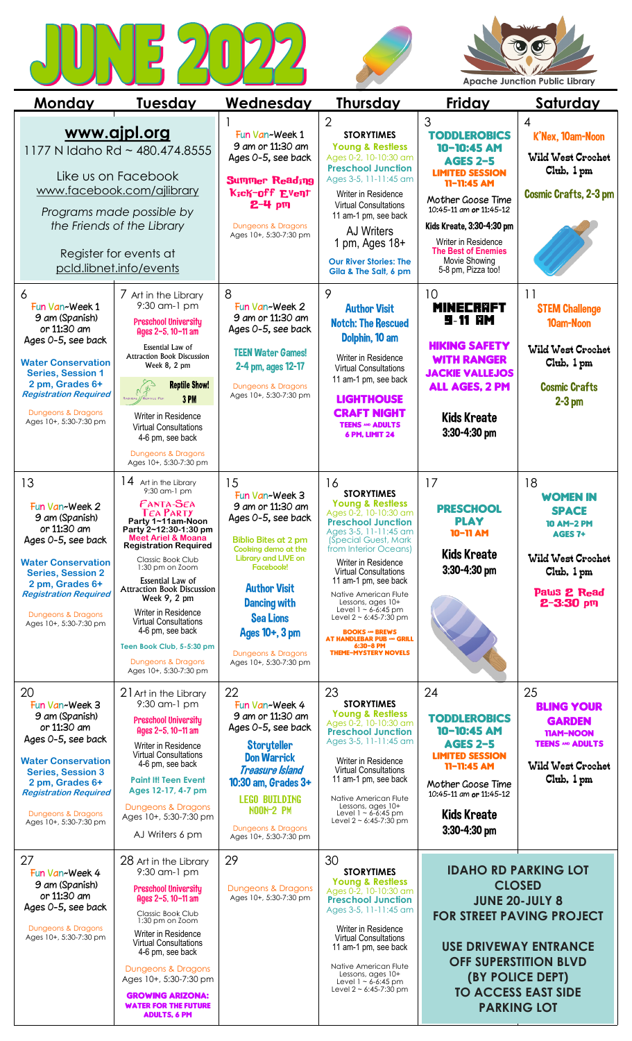





| <u>Monday</u>                                                                                                                                                                                                                           | <u>Tuesday</u>                                                                                                                                                                                                                                                                                                                                                                                                                                                                             | <u>Wednesday</u>                                                                                                                                                                                                                                                                             | <b>Thursday</b>                                                                                                                                                                                                                                                                                                                                                                                                                                                                             | <b>Friday</b>                                                                                                                                                                                                                                                                | <u>Saturday</u>                                                                                                                             |
|-----------------------------------------------------------------------------------------------------------------------------------------------------------------------------------------------------------------------------------------|--------------------------------------------------------------------------------------------------------------------------------------------------------------------------------------------------------------------------------------------------------------------------------------------------------------------------------------------------------------------------------------------------------------------------------------------------------------------------------------------|----------------------------------------------------------------------------------------------------------------------------------------------------------------------------------------------------------------------------------------------------------------------------------------------|---------------------------------------------------------------------------------------------------------------------------------------------------------------------------------------------------------------------------------------------------------------------------------------------------------------------------------------------------------------------------------------------------------------------------------------------------------------------------------------------|------------------------------------------------------------------------------------------------------------------------------------------------------------------------------------------------------------------------------------------------------------------------------|---------------------------------------------------------------------------------------------------------------------------------------------|
|                                                                                                                                                                                                                                         | <u>www.ajpl.org</u><br>1177 N Idaho Rd ~ 480.474.8555<br>Like us on Facebook<br>www.facebook.com/ajlibrary<br>Programs made possible by<br>the Friends of the Library<br>Register for events at<br>pcld.libnet.info/events                                                                                                                                                                                                                                                                 | Fun Van~Week 1<br>9 am or 11:30 am<br>Ages 0-5, see back<br><b>Summer Reading</b><br>Kick-off Event<br>2-4 pm<br>Dungeons & Dragons<br>Ages 10+, 5:30-7:30 pm                                                                                                                                | $\overline{2}$<br><b>STORYTIMES</b><br><b>Young &amp; Restless</b><br>Ages 0-2, 10-10:30 am<br><b>Preschool Junction</b><br>Ages 3-5, 11-11:45 am<br>Writer in Residence<br><b>Virtual Consultations</b><br>11 am-1 pm, see back<br><b>AJ Writers</b><br>1 pm, Ages 18+<br><b>Our River Stories: The</b><br>Gila & The Salt, 6 pm                                                                                                                                                           | 3<br><b>TODDLEROBICS</b><br>10-10:45 AM<br><b>AGES 2-5</b><br><b>LIMITED SESSION</b><br>11-11:45 AM<br>Mother Goose Time<br>10:45-11 am or 11:45-12<br>Kids Kreate, 3:30-4:30 pm<br>Writer in Residence<br><b>The Best of Enemies</b><br>Movie Showing<br>5-8 pm, Pizza too! | 4<br>K'Nex, 10am-Noon<br><b>Wild West Crochet</b><br>Club, 1 pm<br><b>Cosmic Crafts, 2-3 pm</b>                                             |
| 6<br>Fun Van~Week 1<br>9 am (Spanish)<br>or 11:30 am<br>Ages 0-5, see back<br><b>Water Conservation</b><br><b>Series, Session 1</b><br>2 pm, Grades 6+<br><b>Registration Required</b><br>Dungeons & Dragons<br>Ages 10+, 5:30-7:30 pm  | 7 Art in the Library<br>9:30 am-1 pm<br><b>Preschool University</b><br>Ages 2-5, 10-11 am<br>Essential Law of<br><b>Attraction Book Discussion</b><br>Week 8, 2 pm<br><b>Reptile Show!</b><br>3PM<br>RADIGAL // REPTILE FUN<br>Writer in Residence<br><b>Virtual Consultations</b><br>4-6 pm, see back<br>Dungeons & Dragons                                                                                                                                                               | 8<br>Fun Van~Week 2<br>9 am or 11:30 am<br>Ages 0-5, see back<br><b>TEEN Water Games!</b><br>2-4 pm, ages 12-17<br>Dungeons & Dragons<br>Ages 10+, 5:30-7:30 pm                                                                                                                              | 9<br><b>Author Visit</b><br><b>Notch: The Rescued</b><br>Dolphin, 10 am<br>Writer in Residence<br><b>Virtual Consultations</b><br>11 am-1 pm, see back<br><b>LIGHTHOUSE</b><br><b>CRAFT NIGHT</b><br><b>TEENS AND ADULTS</b><br>6 PM, LIMIT 24                                                                                                                                                                                                                                              | 10<br><b>MINECRAFT</b><br><b>9-11 RM</b><br><b>HIKING SAFETY</b><br><b>WITH RANGER</b><br><b>JACKIE VALLEJOS</b><br><b>ALL AGES, 2 PM</b><br><b>Kids Kreate</b><br>3:30-4:30 pm                                                                                              | 11<br><b>STEM Challenge</b><br>10am-Noon<br><b>Wild West Crochet</b><br>Club, 1 pm<br><b>Cosmic Crafts</b><br>$2-3$ pm                      |
| 13<br>Fun Van~Week 2<br>9 am (Spanish)<br>or 11:30 am<br>Ages 0-5, see back<br><b>Water Conservation</b><br><b>Series, Session 2</b><br>2 pm, Grades 6+<br><b>Registration Required</b><br>Dungeons & Dragons<br>Ages 10+, 5:30-7:30 pm | Ages 10+, 5:30-7:30 pm<br>$14$ Art in the Library<br>9:30 am-1 pm<br>FANTA-SEA<br><b>TEA PARTY</b><br>Party 1~11am-Noon<br>Party 2~12:30-1:30 pm<br><b>Meet Ariel &amp; Moana</b><br><b>Registration Required</b><br>Classic Book Club<br>1:30 pm on Zoom<br>Essential Law of<br><b>Attraction Book Discussion</b><br>Week 9, 2 pm<br>Writer in Residence<br><b>Virtual Consultations</b><br>4-6 pm, see back<br>Teen Book Club, 5-5:30 pm<br>Dungeons & Dragons<br>Ages 10+, 5:30-7:30 pm | 15<br>Fun Van~Week 3<br>9 am or 11:30 am<br>Ages 0-5, see back<br><b>Biblio Bites at 2 pm</b><br>Cooking demo at the<br>Library and LIVE on<br>Facebook!<br><b>Author Visit</b><br><b>Dancing with</b><br><b>Sea Lions</b><br>Ages 10+, 3 pm<br>Dungeons & Dragons<br>Ages 10+, 5:30-7:30 pm | 16<br><b>STORYTIMES</b><br><b>Young &amp; Restless</b><br>Ages 0-2, 10-10:30 am<br><b>Preschool Junction</b><br>Ages 3-5, 11-11:45 am<br>(Special Guest, Mark)<br>from Interior Oceans)<br>Writer in Residence<br><b>Virtual Consultations</b><br>11 am-1 pm, see back<br>Native American Flute<br>Lessons, ages 10+<br>Level $1 - 6 - 6:45$ pm<br>Level $2 \sim 6:45 - 7:30$ pm<br><b>BOOKS AND BREWS</b><br><b>AT HANDLEBAR PUB ^^^ GRILL</b><br>6:30-8 PM<br><b>THEME-MYSTERY NOVELS</b> | 17<br><b>PRESCHOOL</b><br><b>PLAY</b><br>10-11 AM<br><b>Kids Kreate</b><br>3:30-4:30 pm                                                                                                                                                                                      | 18<br><b>WOMEN IN</b><br><b>SPACE</b><br><b>10 AM-2 PM</b><br>AGES 7+<br><b>Wild West Crochet</b><br>Club, 1 pm<br>Paws 2 Read<br>2-3:30 pm |
| 20<br>Fun Van~Week 3<br>9 am (Spanish)<br>or 11:30 am<br>Ages 0-5, see back<br><b>Water Conservation</b><br><b>Series, Session 3</b><br>2 pm, Grades 6+<br><b>Registration Required</b><br>Dungeons & Dragons<br>Ages 10+, 5:30-7:30 pm | 21 Art in the Library<br>9:30 am-1 pm<br><b>Preschool University</b><br>Ages 2-5, 10-11 am<br>Writer in Residence<br><b>Virtual Consultations</b><br>4-6 pm, see back<br><b>Paint It! Teen Event</b><br>Ages 12-17, 4-7 pm<br>Dungeons & Dragons<br>Ages 10+, 5:30-7:30 pm<br>AJ Writers 6 pm                                                                                                                                                                                              | 22<br>Fun Van~Week 4<br>9 am or 11:30 am<br>Ages 0-5, see back<br><b>Storyteller</b><br><b>Don Warrick</b><br><b>Treasure Island</b><br>10:30 am, Grades 3+<br><b>LEGO BUILDING</b><br><b>NOON-2 PM</b><br>Dungeons & Dragons<br>Ages 10+, 5:30-7:30 pm                                      | 23<br><b>STORYTIMES</b><br><b>Young &amp; Restless</b><br>Ages 0-2, 10-10:30 am<br><b>Preschool Junction</b><br>Ages 3-5, 11-11:45 am<br>Writer in Residence<br><b>Virtual Consultations</b><br>11 am-1 pm, see back<br>Native American Flute<br>Lessons, ages 10+<br>Level $1 - 6 - 6:45$ pm<br>Level $2 \sim 6:45 - 7:30$ pm                                                                                                                                                              | 24<br><b>TODDLEROBICS</b><br>10-10:45 AM<br><b>AGES 2-5</b><br><b>LIMITED SESSION</b><br>11-11:45 AM<br>Mother Goose Time<br>10:45-11 am or 11:45-12<br><b>Kids Kreate</b><br>3:30-4:30 pm                                                                                   | 25<br><b>BLING YOUR</b><br><b>GARDEN</b><br>11AM-NOON<br><b>TEENS AND ADULTS</b><br><b>Wild West Crochet</b><br>Club, 1 pm                  |
| 27<br>Fun Van~Week 4<br>9 am (Spanish)<br>or 11:30 am<br>Ages 0-5, see back<br>Dungeons & Dragons<br>Ages 10+, 5:30-7:30 pm                                                                                                             | 28 Art in the Library<br>9:30 am-1 pm<br><b>Preschool University</b><br>Ages 2-5, 10-11 am<br>Classic Book Club<br>1:30 pm on Zoom<br>Writer in Residence<br><b>Virtual Consultations</b><br>4-6 pm, see back<br>Dungeons & Dragons<br>Ages 10+, 5:30-7:30 pm<br><b>GROWING ARIZONA:</b><br><b>WATER FOR THE FUTURE</b><br>ADULTS, 6 PM                                                                                                                                                    | 29<br>Dungeons & Dragons<br>Ages 10+, 5:30-7:30 pm                                                                                                                                                                                                                                           | 30<br><b>STORYTIMES</b><br><b>Young &amp; Restless</b><br>Ages 0-2, 10-10:30 am<br><b>Preschool Junction</b><br>Ages 3-5, 11-11:45 am<br>Writer in Residence<br><b>Virtual Consultations</b><br>11 am-1 pm, see back<br>Native American Flute<br>Lessons, ages 10+<br>Level $1 - 6 - 6:45$ pm<br>Level $2 \sim 6:45 - 7:30$ pm                                                                                                                                                              | <b>IDAHO RD PARKING LOT</b><br><b>CLOSED</b><br><b>JUNE 20-JULY 8</b><br><b>FOR STREET PAVING PROJECT</b><br><b>USE DRIVEWAY ENTRANCE</b><br><b>OFF SUPERSTITION BLVD</b><br>(BY POLICE DEPT)<br><b>TO ACCESS EAST SIDE</b><br><b>PARKING LOT</b>                            |                                                                                                                                             |